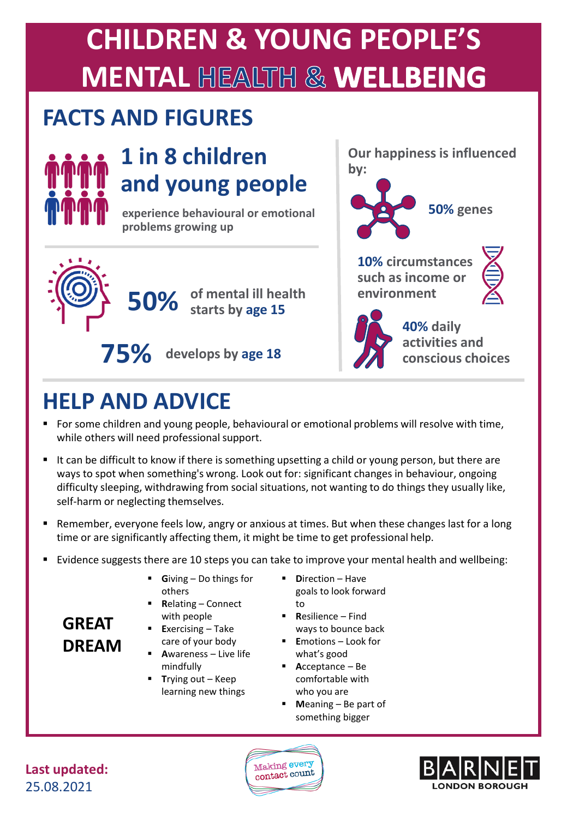## **CHILDREN & YOUNG PEOPLE'S MENTAL HEALTH & WELLBEING**

#### **FACTS AND FIGURES**



#### **1 in 8 children and young people**

**experience behavioural or emotional problems growing up**





**Our happiness is influenced** 

**10% circumstances such as income or environment**



**75%** develops by age 18 **40% daily activities and** 

#### **HELP AND ADVICE**

- For some children and young people, behavioural or emotional problems will resolve with time, while others will need professional support.
- It can be difficult to know if there is something upsetting a child or young person, but there are ways to spot when something's wrong. Look out for: significant changes in behaviour, ongoing difficulty sleeping, withdrawing from social situations, not wanting to do things they usually like, self-harm or neglecting themselves.
- Remember, everyone feels low, angry or anxious at times. But when these changes last for a long time or are significantly affecting them, it might be time to get professional help.
- Evidence suggests there are 10 steps you can take to improve your mental health and wellbeing:
	- Giving Do things for others
	- **Relating Connect** with people
	- **Exercising Take** care of your body
	- **A**wareness Live life mindfully
	- **T**rying out Keep learning new things
- **D**irection Have goals to look forward to
- **R**esilience Find ways to bounce back
- **E**motions Look for what's good
- **A**cceptance Be comfortable with who you are
- **M**eaning Be part of something bigger

**Last updated:** 25.08.2021

**GREAT** 

**DREAM**



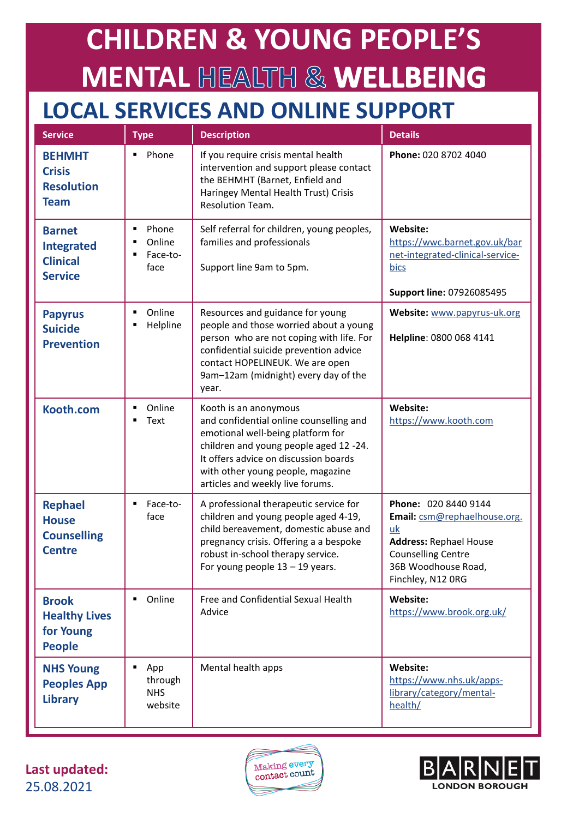# **CHILDREN & YOUNG PEOPLE'S MENTAL HEALTH & WELLBEING**

#### **LOCAL SERVICES AND ONLINE SUPPORT**

| <b>Service</b>                                                          | <b>Type</b>                                  | <b>Description</b>                                                                                                                                                                                                                                                | <b>Details</b>                                                                                                                                                       |
|-------------------------------------------------------------------------|----------------------------------------------|-------------------------------------------------------------------------------------------------------------------------------------------------------------------------------------------------------------------------------------------------------------------|----------------------------------------------------------------------------------------------------------------------------------------------------------------------|
| <b>BEHMHT</b><br><b>Crisis</b><br><b>Resolution</b><br><b>Team</b>      | Phone<br>٠                                   | If you require crisis mental health<br>intervention and support please contact<br>the BEHMHT (Barnet, Enfield and<br>Haringey Mental Health Trust) Crisis<br>Resolution Team.                                                                                     | Phone: 020 8702 4040                                                                                                                                                 |
| <b>Barnet</b><br><b>Integrated</b><br><b>Clinical</b><br><b>Service</b> | Phone<br>٠<br>Online<br>Face-to-<br>face     | Self referral for children, young peoples,<br>families and professionals<br>Support line 9am to 5pm.                                                                                                                                                              | Website:<br>https://wwc.barnet.gov.uk/bar<br>net-integrated-clinical-service-<br>bics<br>Support line: 07926085495                                                   |
| <b>Papyrus</b><br><b>Suicide</b><br><b>Prevention</b>                   | Online<br>Helpline                           | Resources and guidance for young<br>people and those worried about a young<br>person who are not coping with life. For<br>confidential suicide prevention advice<br>contact HOPELINEUK. We are open<br>9am-12am (midnight) every day of the<br>year.              | Website: www.papyrus-uk.org<br>Helpline: 0800 068 4141                                                                                                               |
| Kooth.com                                                               | Online<br>٠<br>Text<br>п                     | Kooth is an anonymous<br>and confidential online counselling and<br>emotional well-being platform for<br>children and young people aged 12 -24.<br>It offers advice on discussion boards<br>with other young people, magazine<br>articles and weekly live forums. | Website:<br>https://www.kooth.com                                                                                                                                    |
| <b>Rephael</b><br><b>House</b><br><b>Counselling</b><br><b>Centre</b>   | ٠<br>Face-to-<br>face                        | A professional therapeutic service for<br>children and young people aged 4-19,<br>child bereavement, domestic abuse and<br>pregnancy crisis. Offering a a bespoke<br>robust in-school therapy service.<br>For young people $13 - 19$ years.                       | Phone: 020 8440 9144<br>Email: csm@rephaelhouse.org.<br>uk<br><b>Address: Rephael House</b><br><b>Counselling Centre</b><br>36B Woodhouse Road,<br>Finchley, N12 ORG |
| <b>Brook</b><br><b>Healthy Lives</b><br>for Young<br><b>People</b>      | Online                                       | Free and Confidential Sexual Health<br>Advice                                                                                                                                                                                                                     | Website:<br>https://www.brook.org.uk/                                                                                                                                |
| <b>NHS Young</b><br><b>Peoples App</b><br><b>Library</b>                | π<br>App<br>through<br><b>NHS</b><br>website | Mental health apps                                                                                                                                                                                                                                                | Website:<br>https://www.nhs.uk/apps-<br>library/category/mental-<br>health/                                                                                          |

**Last updated:** 25.08.2021